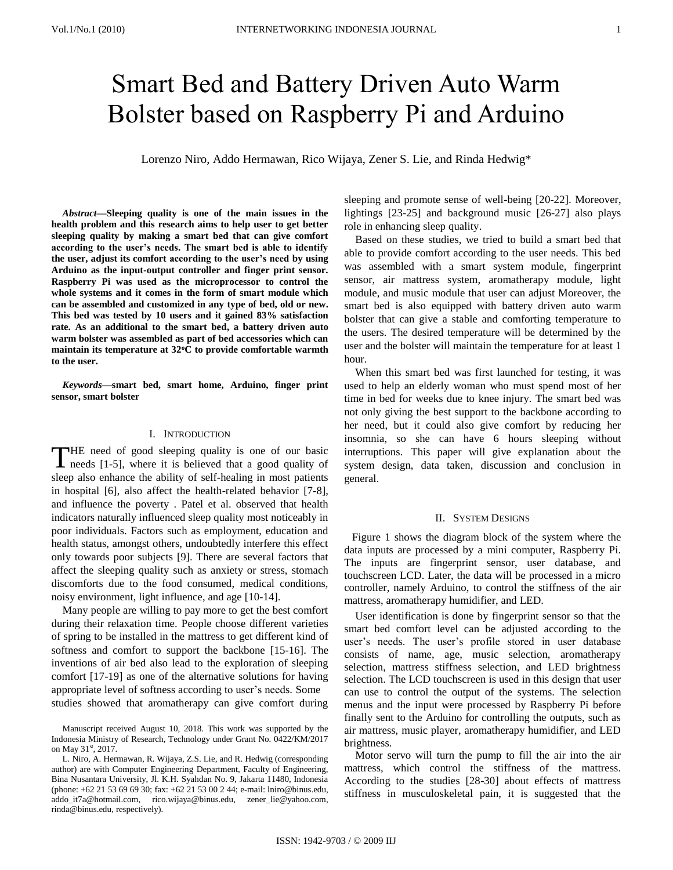# Smart Bed and Battery Driven Auto Warm Bolster based on Raspberry Pi and Arduino

Lorenzo Niro, Addo Hermawan, Rico Wijaya, Zener S. Lie, and Rinda Hedwig\*

*Abstract***—Sleeping quality is one of the main issues in the health problem and this research aims to help user to get better sleeping quality by making a smart bed that can give comfort according to the user's needs. The smart bed is able to identify the user, adjust its comfort according to the user's need by using Arduino as the input-output controller and finger print sensor. Raspberry Pi was used as the microprocessor to control the whole systems and it comes in the form of smart module which can be assembled and customized in any type of bed, old or new. This bed was tested by 10 users and it gained 83% satisfaction rate. As an additional to the smart bed, a battery driven auto warm bolster was assembled as part of bed accessories which can**  maintain its temperature at 32<sup>o</sup>C to provide comfortable warmth **to the user.**

*Keywords***—smart bed, smart home, Arduino, finger print sensor, smart bolster**

# I. INTRODUCTION

HE need of good sleeping quality is one of our basic THE need of good sleeping quality is one of our basic needs [1-5], where it is believed that a good quality of sleep also enhance the ability of self-healing in most patients in hospital [6], also affect the health-related behavior [7-8], and influence the poverty . Patel et al. observed that health indicators naturally influenced sleep quality most noticeably in poor individuals. Factors such as employment, education and health status, amongst others, undoubtedly interfere this effect only towards poor subjects [9]. There are several factors that affect the sleeping quality such as anxiety or stress, stomach discomforts due to the food consumed, medical conditions, noisy environment, light influence, and age [10-14].

Many people are willing to pay more to get the best comfort during their relaxation time. People choose different varieties of spring to be installed in the mattress to get different kind of softness and comfort to support the backbone [15-16]. The inventions of air bed also lead to the exploration of sleeping comfort [17-19] as one of the alternative solutions for having appropriate level of softness according to user's needs. Some studies showed that aromatherapy can give comfort during

L. Niro, A. Hermawan, R. Wijaya, Z.S. Lie, and R. Hedwig (corresponding author) are with Computer Engineering Department, Faculty of Engineering, Bina Nusantara University, Jl. K.H. Syahdan No. 9, Jakarta 11480, Indonesia (phone: +62 21 53 69 69 30; fax: +62 21 53 00 2 44; e-mail: lniro@binus.edu, addo\_it7a@hotmail.com, rico.wijaya@binus.edu, zener\_lie@yahoo.com, rinda@binus.edu, respectively).

sleeping and promote sense of well-being [20-22]. Moreover, lightings [23-25] and background music [26-27] also plays role in enhancing sleep quality.

Based on these studies, we tried to build a smart bed that able to provide comfort according to the user needs. This bed was assembled with a smart system module, fingerprint sensor, air mattress system, aromatherapy module, light module, and music module that user can adjust Moreover, the smart bed is also equipped with battery driven auto warm bolster that can give a stable and comforting temperature to the users. The desired temperature will be determined by the user and the bolster will maintain the temperature for at least 1 hour.

When this smart bed was first launched for testing, it was used to help an elderly woman who must spend most of her time in bed for weeks due to knee injury. The smart bed was not only giving the best support to the backbone according to her need, but it could also give comfort by reducing her insomnia, so she can have 6 hours sleeping without interruptions. This paper will give explanation about the system design, data taken, discussion and conclusion in general.

# II. SYSTEM DESIGNS

Figure 1 shows the diagram block of the system where the data inputs are processed by a mini computer, Raspberry Pi. The inputs are fingerprint sensor, user database, and touchscreen LCD. Later, the data will be processed in a micro controller, namely Arduino, to control the stiffness of the air mattress, aromatherapy humidifier, and LED.

User identification is done by fingerprint sensor so that the smart bed comfort level can be adjusted according to the user's needs. The user's profile stored in user database consists of name, age, music selection, aromatherapy selection, mattress stiffness selection, and LED brightness selection. The LCD touchscreen is used in this design that user can use to control the output of the systems. The selection menus and the input were processed by Raspberry Pi before finally sent to the Arduino for controlling the outputs, such as air mattress, music player, aromatherapy humidifier, and LED brightness.

Motor servo will turn the pump to fill the air into the air mattress, which control the stiffness of the mattress. According to the studies [28-30] about effects of mattress stiffness in musculoskeletal pain, it is suggested that the

Manuscript received August 10, 2018. This work was supported by the Indonesia Ministry of Research, Technology under Grant No. 0422/KM/2017 on May 31st, 2017.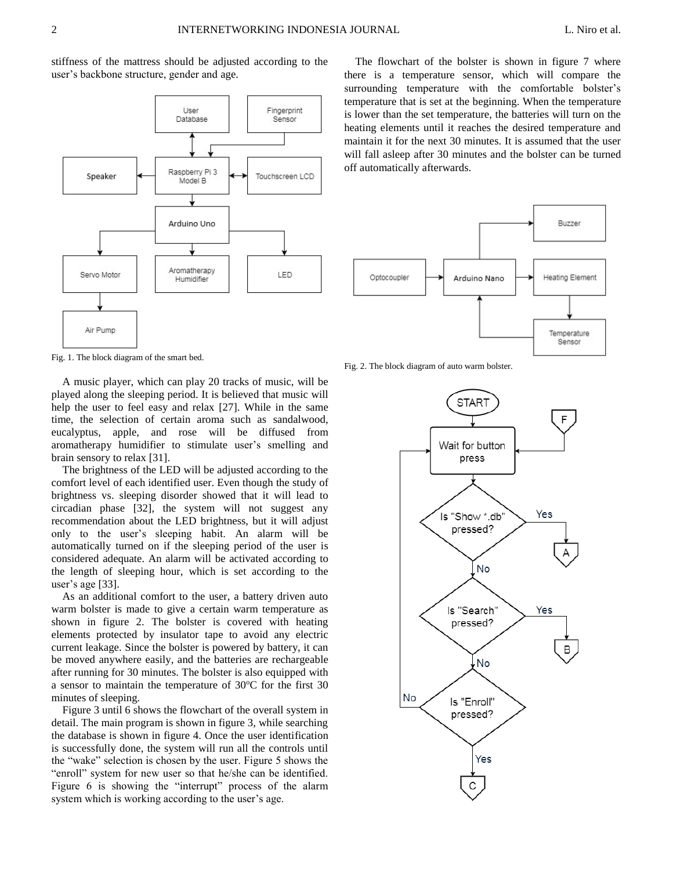stiffness of the mattress should be adjusted according to the user's backbone structure, gender and age.



Fig. 1. The block diagram of the smart bed.

A music player, which can play 20 tracks of music, will be played along the sleeping period. It is believed that music will help the user to feel easy and relax [27]. While in the same time, the selection of certain aroma such as sandalwood, eucalyptus, apple, and rose will be diffused from aromatherapy humidifier to stimulate user's smelling and brain sensory to relax [31].

The brightness of the LED will be adjusted according to the comfort level of each identified user. Even though the study of brightness vs. sleeping disorder showed that it will lead to circadian phase [32], the system will not suggest any recommendation about the LED brightness, but it will adjust only to the user's sleeping habit. An alarm will be automatically turned on if the sleeping period of the user is considered adequate. An alarm will be activated according to the length of sleeping hour, which is set according to the user's age [33].

As an additional comfort to the user, a battery driven auto warm bolster is made to give a certain warm temperature as shown in figure 2. The bolster is covered with heating elements protected by insulator tape to avoid any electric current leakage. Since the bolster is powered by battery, it can be moved anywhere easily, and the batteries are rechargeable after running for 30 minutes. The bolster is also equipped with a sensor to maintain the temperature of  $30^{\circ}$ C for the first 30 minutes of sleeping.

Figure 3 until 6 shows the flowchart of the overall system in detail. The main program is shown in figure 3, while searching the database is shown in figure 4. Once the user identification is successfully done, the system will run all the controls until the "wake" selection is chosen by the user. Figure 5 shows the "enroll" system for new user so that he/she can be identified. Figure 6 is showing the "interrupt" process of the alarm system which is working according to the user's age.

The flowchart of the bolster is shown in figure 7 where there is a temperature sensor, which will compare the surrounding temperature with the comfortable bolster's temperature that is set at the beginning. When the temperature is lower than the set temperature, the batteries will turn on the heating elements until it reaches the desired temperature and maintain it for the next 30 minutes. It is assumed that the user will fall asleep after 30 minutes and the bolster can be turned off automatically afterwards.



Fig. 2. The block diagram of auto warm bolster.

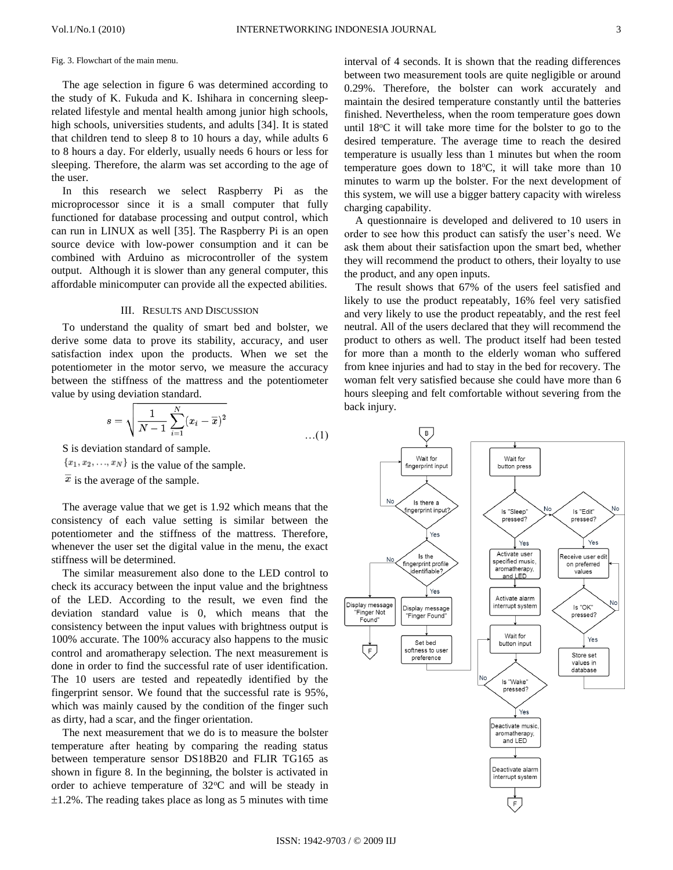### Fig. 3. Flowchart of the main menu.

The age selection in figure 6 was determined according to the study of K. Fukuda and K. Ishihara in concerning sleeprelated lifestyle and mental health among junior high schools, high schools, universities students, and adults [34]. It is stated that children tend to sleep 8 to 10 hours a day, while adults 6 to 8 hours a day. For elderly, usually needs 6 hours or less for sleeping. Therefore, the alarm was set according to the age of the user.

In this research we select Raspberry Pi as the microprocessor since it is a small computer that fully functioned for database processing and output control, which can run in LINUX as well [35]. The Raspberry Pi is an open source device with low-power consumption and it can be combined with Arduino as microcontroller of the system output. Although it is slower than any general computer, this affordable minicomputer can provide all the expected abilities.

### III. RESULTS AND DISCUSSION

To understand the quality of smart bed and bolster, we derive some data to prove its stability, accuracy, and user satisfaction index upon the products. When we set the potentiometer in the motor servo, we measure the accuracy between the stiffness of the mattress and the potentiometer value by using deviation standard.

$$
s = \sqrt{\frac{1}{N-1} \sum_{i=1}^{N} (x_i - \overline{x})^2}
$$
...(1)

S is deviation standard of sample.

 ${x_1, x_2, ..., x_N}$  is the value of the sample.

 $\overline{x}$  is the average of the sample.

The average value that we get is 1.92 which means that the consistency of each value setting is similar between the potentiometer and the stiffness of the mattress. Therefore, whenever the user set the digital value in the menu, the exact stiffness will be determined.

The similar measurement also done to the LED control to check its accuracy between the input value and the brightness of the LED. According to the result, we even find the deviation standard value is 0, which means that the consistency between the input values with brightness output is 100% accurate. The 100% accuracy also happens to the music control and aromatherapy selection. The next measurement is done in order to find the successful rate of user identification. The 10 users are tested and repeatedly identified by the fingerprint sensor. We found that the successful rate is 95%, which was mainly caused by the condition of the finger such as dirty, had a scar, and the finger orientation.

The next measurement that we do is to measure the bolster temperature after heating by comparing the reading status between temperature sensor DS18B20 and FLIR TG165 as shown in figure 8. In the beginning, the bolster is activated in order to achieve temperature of  $32^{\circ}$ C and will be steady in  $\pm 1.2$ %. The reading takes place as long as 5 minutes with time

interval of 4 seconds. It is shown that the reading differences between two measurement tools are quite negligible or around 0.29%. Therefore, the bolster can work accurately and maintain the desired temperature constantly until the batteries finished. Nevertheless, when the room temperature goes down until  $18^{\circ}$ C it will take more time for the bolster to go to the desired temperature. The average time to reach the desired temperature is usually less than 1 minutes but when the room temperature goes down to  $18^{\circ}$ C, it will take more than 10 minutes to warm up the bolster. For the next development of this system, we will use a bigger battery capacity with wireless charging capability.

A questionnaire is developed and delivered to 10 users in order to see how this product can satisfy the user's need. We ask them about their satisfaction upon the smart bed, whether they will recommend the product to others, their loyalty to use the product, and any open inputs.

The result shows that 67% of the users feel satisfied and likely to use the product repeatably, 16% feel very satisfied and very likely to use the product repeatably, and the rest feel neutral. All of the users declared that they will recommend the product to others as well. The product itself had been tested for more than a month to the elderly woman who suffered from knee injuries and had to stay in the bed for recovery. The woman felt very satisfied because she could have more than 6 hours sleeping and felt comfortable without severing from the back injury.

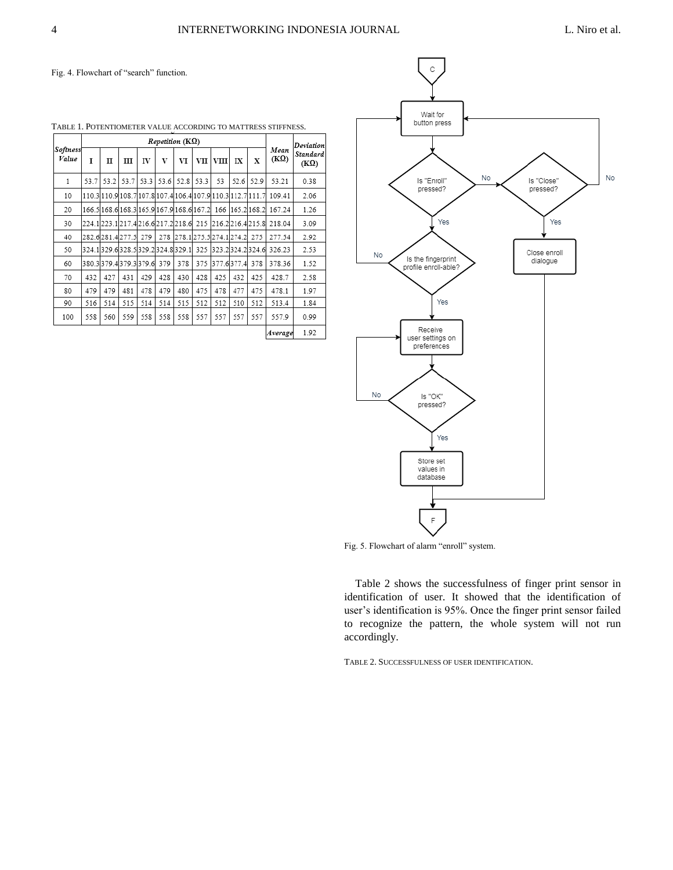Fig. 4. Flowchart of "search" function.

|                   | TABLE T. POTENTIOMETER VALUE ACCORDING TO MATTRESS STIFFNESS. |      |                                                             |           |      |      |       |                             |      |                |                     |                         |
|-------------------|---------------------------------------------------------------|------|-------------------------------------------------------------|-----------|------|------|-------|-----------------------------|------|----------------|---------------------|-------------------------|
| Softness<br>Value |                                                               |      |                                                             | Deviation |      |      |       |                             |      |                |                     |                         |
|                   | T                                                             | п    | ш                                                           | IV        | V    | VI   | VII l | <b>VIII</b>                 | IX   | X              | Mean<br>$(K\Omega)$ | Standard<br>$(K\Omega)$ |
| 1                 | 53.7                                                          | 53.2 | 53.7                                                        | 53.3      | 53.6 | 52.8 | 53.3  | 53                          | 52.6 | 52.9           | 53.21               | 0.38                    |
| 10                |                                                               |      | 110.3 110.9 108.7 107.8 107.4 106.4 107.9 110.3 112.7 111.7 |           |      |      |       |                             |      |                | 109.41              | 2.06                    |
| 20                |                                                               |      | 166.5 168.6 168.3 165.9 167.9 168.6 167.2                   |           |      |      |       |                             |      | 166 165 2168 2 | 167.24              | 1.26                    |
| 30                |                                                               |      | 224.1223.1217.4216.6217.2218.6 215 216.2216.4215.8          |           |      |      |       |                             |      |                | 218.04              | 3.09                    |
| 40                |                                                               |      | 282.6281.4277.5 279                                         |           |      |      |       | 278 278.1 275.5 274.1 274.2 |      | 275            | 277.54              | 2.92                    |
| 50                |                                                               |      | 324.1329.6328.5329.2324.8329.1                              |           |      |      | 325   | 323.2324.2324.6             |      |                | 326.23              | 2.53                    |
| 60                |                                                               |      | 380.3379.4379.3379.6 379                                    |           |      | 378  | 375   | 377.6377.4                  |      | 378            | 378.36              | 1.52                    |
| 70                | 432                                                           | 427  | 431                                                         | 429       | 428  | 430  | 428   | 425                         | 432  | 425            | 428.7               | 2.58                    |
| 80                | 479                                                           | 479  | 481                                                         | 478       | 479  | 480  | 475   | 478                         | 477  | 475            | 478.1               | 1.97                    |
| 90                | 516                                                           | 514  | 515                                                         | 514       | 514  | 515  | 512   | 512                         | 510  | 512            | 513.4               | 1.84                    |
| 100               | 558                                                           | 560  | 559                                                         | 558       | 558  | 558  | 557   | 557                         | 557  | 557            | 557.9               | 0.99                    |
|                   |                                                               |      |                                                             |           |      |      |       |                             |      |                | Average             | 1.92                    |

TABLE 1. POTENTIOMETER VALUE ACCORDING TO MATTRESS STIFFNESS.



Fig. 5. Flowchart of alarm "enroll" system.

Table 2 shows the successfulness of finger print sensor in identification of user. It showed that the identification of user's identification is 95%. Once the finger print sensor failed to recognize the pattern, the whole system will not run accordingly.

TABLE 2. SUCCESSFULNESS OF USER IDENTIFICATION.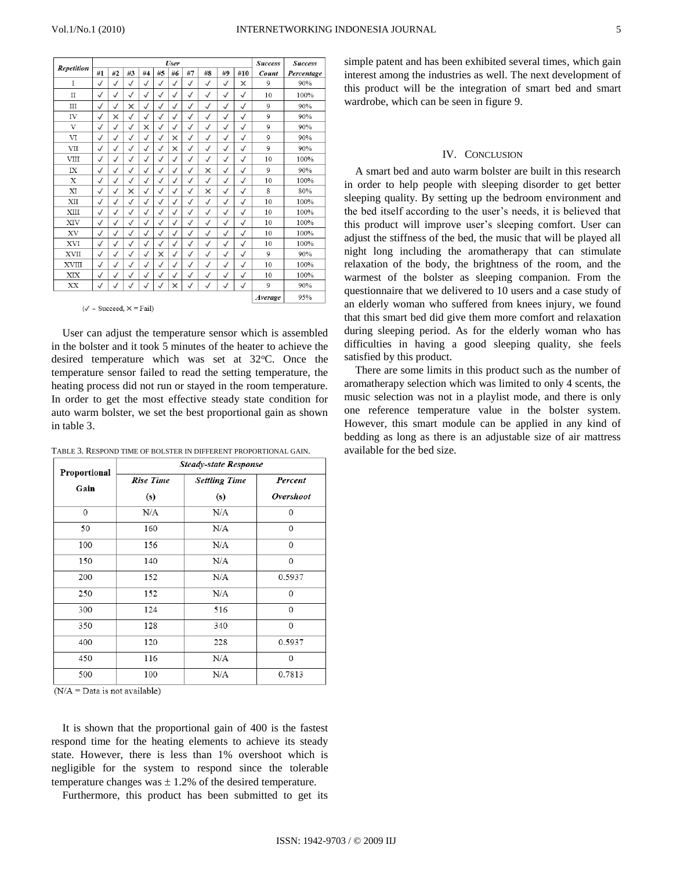|                         |              |              |              | <b>Success</b> | <b>Success</b> |              |              |              |              |              |         |            |
|-------------------------|--------------|--------------|--------------|----------------|----------------|--------------|--------------|--------------|--------------|--------------|---------|------------|
| Repetition              | #1           | #2           | #3           | #4             | #5             | #6           | #7           | #8           | #9           | #10          | Count   | Percentage |
| I                       | $\checkmark$ | $\checkmark$ | $\checkmark$ | $\checkmark$   | $\checkmark$   | $\checkmark$ | $\checkmark$ | ✓            | $\checkmark$ | ×            | 9       | 90%        |
| $\rm II$                | $\checkmark$ | $\checkmark$ | $\checkmark$ | $\checkmark$   | $\checkmark$   | $\checkmark$ | $\checkmark$ | $\checkmark$ | $\checkmark$ | $\checkmark$ | 10      | 100%       |
| Ш                       | $\checkmark$ | $\checkmark$ | ×            | $\checkmark$   | $\checkmark$   | $\checkmark$ | $\checkmark$ | $\checkmark$ | $\checkmark$ | $\checkmark$ | 9       | 90%        |
| IV                      | $\checkmark$ | ×            | $\checkmark$ | $\checkmark$   | $\checkmark$   | $\checkmark$ | $\checkmark$ | $\checkmark$ | $\checkmark$ | $\checkmark$ | 9       | 90%        |
| $\overline{\mathbf{V}}$ | $\checkmark$ | $\checkmark$ | $\checkmark$ | $\times$       | $\checkmark$   | $\checkmark$ | $\checkmark$ | √            | $\checkmark$ | $\checkmark$ | 9       | 90%        |
| VI                      | $\checkmark$ | $\checkmark$ | $\checkmark$ | $\checkmark$   | $\checkmark$   | $\times$     | $\checkmark$ | $\checkmark$ | $\checkmark$ | $\checkmark$ | 9       | 90%        |
| VII                     | $\checkmark$ | $\checkmark$ | $\checkmark$ | $\checkmark$   | $\checkmark$   | $\times$     | $\checkmark$ | $\checkmark$ | $\checkmark$ | $\checkmark$ | 9       | 90%        |
| <b>VIII</b>             | $\checkmark$ | $\checkmark$ | $\checkmark$ | $\checkmark$   | $\checkmark$   | $\checkmark$ | $\checkmark$ | $\checkmark$ | $\checkmark$ | $\checkmark$ | 10      | 100%       |
| IX                      | $\checkmark$ | $\checkmark$ | $\checkmark$ | $\checkmark$   | $\checkmark$   | $\checkmark$ | $\checkmark$ | ×            | $\checkmark$ | $\checkmark$ | 9       | 90%        |
| X                       | $\checkmark$ | $\checkmark$ | $\checkmark$ | $\checkmark$   | $\checkmark$   | $\checkmark$ | $\checkmark$ | $\checkmark$ | $\checkmark$ | $\checkmark$ | 10      | 100%       |
| XI                      | $\checkmark$ | $\checkmark$ | ×            | $\checkmark$   | $\checkmark$   | $\checkmark$ | $\checkmark$ | ×            | $\checkmark$ | $\checkmark$ | 8       | 80%        |
| XII                     | $\checkmark$ | $\checkmark$ | $\checkmark$ | $\checkmark$   | $\checkmark$   | $\checkmark$ | $\checkmark$ | $\checkmark$ | $\checkmark$ | $\checkmark$ | 10      | 100%       |
| XIII                    | $\checkmark$ | $\checkmark$ | $\checkmark$ | $\checkmark$   | $\checkmark$   | $\checkmark$ | $\checkmark$ | √            | $\checkmark$ | $\checkmark$ | 10      | 100%       |
| XIV                     | $\checkmark$ | $\checkmark$ | $\checkmark$ | $\checkmark$   | $\checkmark$   | $\checkmark$ | $\checkmark$ | $\checkmark$ | $\checkmark$ | $\checkmark$ | 10      | 100%       |
| XV                      | $\checkmark$ | $\checkmark$ | $\checkmark$ | $\checkmark$   | $\checkmark$   | $\checkmark$ | $\checkmark$ | $\checkmark$ | $\checkmark$ | $\checkmark$ | 10      | 100%       |
| XVI                     | $\checkmark$ | $\checkmark$ | $\checkmark$ | $\checkmark$   | $\checkmark$   | $\checkmark$ | $\checkmark$ | $\checkmark$ | $\checkmark$ | $\checkmark$ | 10      | 100%       |
| <b>XVII</b>             | $\checkmark$ | $\checkmark$ | $\checkmark$ | $\checkmark$   | $\times$       | $\checkmark$ | $\checkmark$ | √            | $\checkmark$ | $\checkmark$ | 9       | 90%        |
| XVIII                   | $\checkmark$ | $\checkmark$ | $\checkmark$ | $\checkmark$   | $\checkmark$   | $\checkmark$ | $\checkmark$ | √            | $\checkmark$ | $\checkmark$ | 10      | 100%       |
| XIX                     | $\checkmark$ | $\checkmark$ | $\checkmark$ | $\checkmark$   | $\checkmark$   | $\checkmark$ | $\checkmark$ | $\checkmark$ | $\checkmark$ | $\checkmark$ | 10      | 100%       |
| XX                      | $\checkmark$ | $\checkmark$ | $\checkmark$ | $\checkmark$   | $\checkmark$   | ×            | $\checkmark$ | $\checkmark$ | $\checkmark$ | $\checkmark$ | 9       | 90%        |
|                         |              |              |              |                |                |              |              |              |              |              | Average | 95%        |

 $(\sqrt{\ }$  = Succeed,  $\times$  = Fail)

User can adjust the temperature sensor which is assembled in the bolster and it took 5 minutes of the heater to achieve the desired temperature which was set at  $32^{\circ}$ C. Once the temperature sensor failed to read the setting temperature, the heating process did not run or stayed in the room temperature. In order to get the most effective steady state condition for auto warm bolster, we set the best proportional gain as shown in table 3.

TABLE 3. RESPOND TIME OF BOLSTER IN DIFFERENT PROPORTIONAL GAIN.

| Proportional | <b>Steady-state Response</b> |                      |           |  |  |  |  |  |  |  |
|--------------|------------------------------|----------------------|-----------|--|--|--|--|--|--|--|
| Gain         | Rise Time                    | <b>Settling Time</b> | Percent   |  |  |  |  |  |  |  |
|              | (s)                          | (s)                  | Overshoot |  |  |  |  |  |  |  |
| $\mathbf{0}$ | N/A                          | N/A                  | 0         |  |  |  |  |  |  |  |
| 50           | 160                          | N/A                  | $\Omega$  |  |  |  |  |  |  |  |
| 100          | 156                          | N/A                  | $\Omega$  |  |  |  |  |  |  |  |
| 150          | 140                          | N/A                  | 0         |  |  |  |  |  |  |  |
| 200          | 152                          | N/A                  | 0.5937    |  |  |  |  |  |  |  |
| 250          | 152                          | N/A                  | $\Omega$  |  |  |  |  |  |  |  |
| 300          | 124                          | 516                  | $\Omega$  |  |  |  |  |  |  |  |
| 350          | 128                          | 340                  | $\Omega$  |  |  |  |  |  |  |  |
| 400          | 120                          | 228                  | 0.5937    |  |  |  |  |  |  |  |
| 450          | 116                          | N/A                  | $\Omega$  |  |  |  |  |  |  |  |
| 500          | 100                          | N/A                  | 0.7813    |  |  |  |  |  |  |  |

 $(N/A = Data$  is not available)

It is shown that the proportional gain of 400 is the fastest respond time for the heating elements to achieve its steady state. However, there is less than 1% overshoot which is negligible for the system to respond since the tolerable temperature changes was  $\pm$  1.2% of the desired temperature.

Furthermore, this product has been submitted to get its

simple patent and has been exhibited several times, which gain interest among the industries as well. The next development of this product will be the integration of smart bed and smart wardrobe, which can be seen in figure 9.

# IV. CONCLUSION

A smart bed and auto warm bolster are built in this research in order to help people with sleeping disorder to get better sleeping quality. By setting up the bedroom environment and the bed itself according to the user's needs, it is believed that this product will improve user's sleeping comfort. User can adjust the stiffness of the bed, the music that will be played all night long including the aromatherapy that can stimulate relaxation of the body, the brightness of the room, and the warmest of the bolster as sleeping companion. From the questionnaire that we delivered to 10 users and a case study of an elderly woman who suffered from knees injury, we found that this smart bed did give them more comfort and relaxation during sleeping period. As for the elderly woman who has difficulties in having a good sleeping quality, she feels satisfied by this product.

There are some limits in this product such as the number of aromatherapy selection which was limited to only 4 scents, the music selection was not in a playlist mode, and there is only one reference temperature value in the bolster system. However, this smart module can be applied in any kind of bedding as long as there is an adjustable size of air mattress available for the bed size.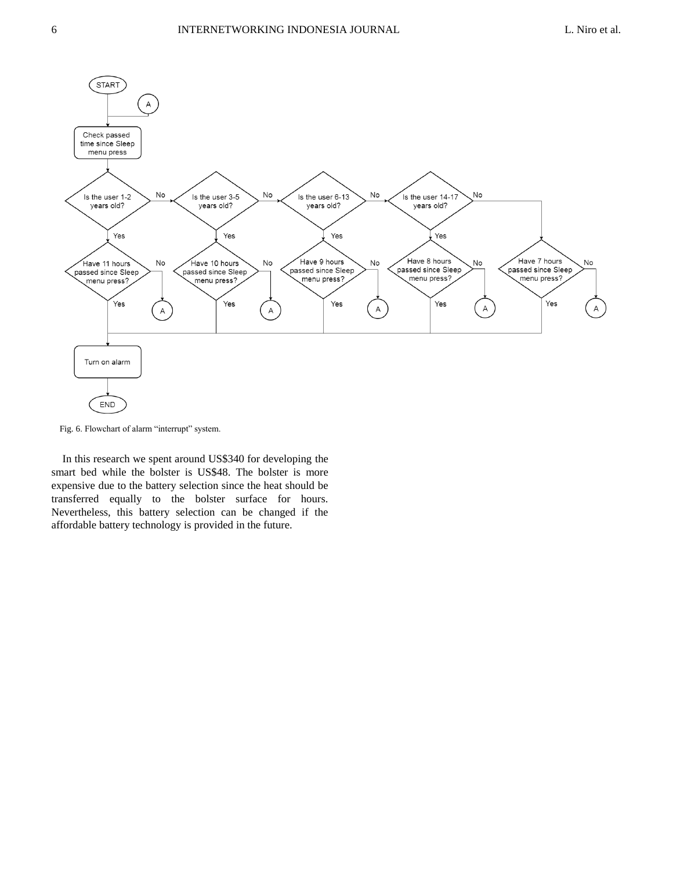

Fig. 6. Flowchart of alarm "interrupt" system.

In this research we spent around US\$340 for developing the smart bed while the bolster is US\$48. The bolster is more expensive due to the battery selection since the heat should be transferred equally to the bolster surface for hours. Nevertheless, this battery selection can be changed if the affordable battery technology is provided in the future.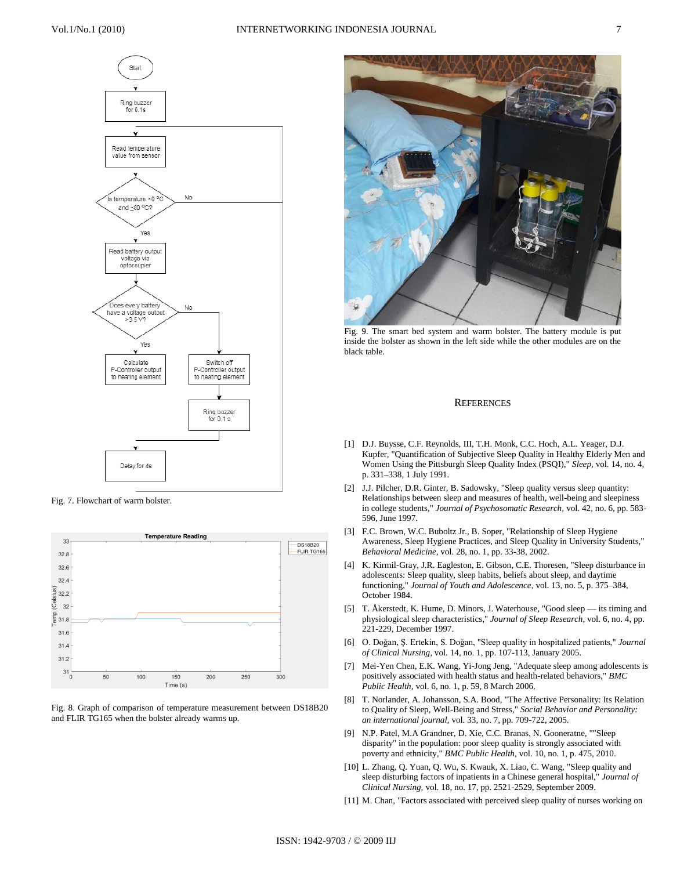

Fig. 7. Flowchart of warm bolster.



Fig. 8. Graph of comparison of temperature measurement between DS18B20 and FLIR TG165 when the bolster already warms up.



Fig. 9. The smart bed system and warm bolster. The battery module is put inside the bolster as shown in the left side while the other modules are on the black table.

#### **REFERENCES**

- [1] D.J. Buysse, C.F. Reynolds, III, T.H. Monk, C.C. Hoch, A.L. Yeager, D.J. Kupfer, "Quantification of Subjective Sleep Quality in Healthy Elderly Men and Women Using the Pittsburgh Sleep Quality Index (PSQI)," *Sleep,* vol. 14, no. 4, p. 331–338, 1 July 1991.
- [2] J.J. Pilcher, D.R. Ginter, B. Sadowsky, "Sleep quality versus sleep quantity: Relationships between sleep and measures of health, well-being and sleepiness in college students," *Journal of Psychosomatic Research,* vol. 42, no. 6, pp. 583- 596, June 1997.
- [3] F.C. Brown, W.C. Buboltz Jr., B. Soper, "Relationship of Sleep Hygiene Awareness, Sleep Hygiene Practices, and Sleep Quality in University Students," *Behavioral Medicine,* vol. 28, no. 1, pp. 33-38, 2002.
- [4] K. Kirmil-Gray, J.R. Eagleston, E. Gibson, C.E. Thoresen, "Sleep disturbance in adolescents: Sleep quality, sleep habits, beliefs about sleep, and daytime functioning," *Journal of Youth and Adolescence,* vol. 13, no. 5, p. 375–384, October 1984.
- [5] T. Åkerstedt, K. Hume, D. Minors, J. Waterhouse, "Good sleep its timing and physiological sleep characteristics," *Journal of Sleep Research,* vol. 6, no. 4, pp. 221-229, December 1997.
- [6] O. Doǧan, Ş. Ertekin, S. Doǧan, "Sleep quality in hospitalized patients," *Journal of Clinical Nursing,* vol. 14, no. 1, pp. 107-113, January 2005.
- [7] Mei-Yen Chen, E.K. Wang, Yi-Jong Jeng, "Adequate sleep among adolescents is positively associated with health status and health-related behaviors," *BMC Public Health,* vol. 6, no. 1, p. 59, 8 March 2006.
- [8] T. Norlander, A. Johansson, S.A. Bood, "The Affective Personality: Its Relation to Quality of Sleep, Well-Being and Stress," *Social Behavior and Personality: an international journal,* vol. 33, no. 7, pp. 709-722, 2005.
- [9] N.P. Patel, M.A Grandner, D. Xie, C.C. Branas, N. Gooneratne, ""Sleep disparity" in the population: poor sleep quality is strongly associated with poverty and ethnicity," *BMC Public Health,* vol. 10, no. 1, p. 475, 2010.
- [10] L. Zhang, Q. Yuan, Q. Wu, S. Kwauk, X. Liao, C. Wang, "Sleep quality and sleep disturbing factors of inpatients in a Chinese general hospital," *Journal of Clinical Nursing,* vol. 18, no. 17, pp. 2521-2529, September 2009.
- [11] M. Chan, "Factors associated with perceived sleep quality of nurses working on